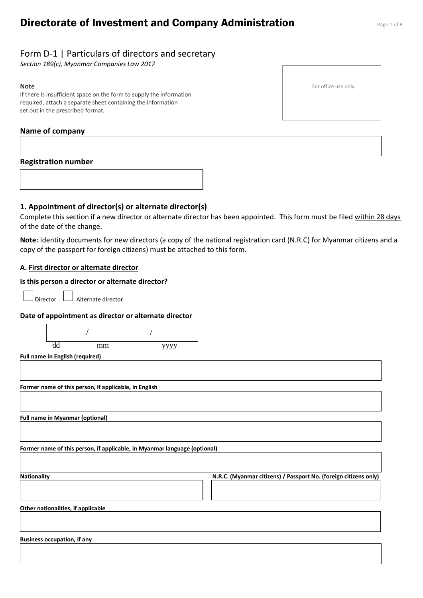## **Directorate of Investment and Company Administration** Page 1 of 9

*Section 189(c), Myanmar Companies Law 2017*

#### **Note**

If there is insufficient space on the form to supply the information required, attach a separate sheet containing the information set out in the prescribed format.

## **Name of company**

## **Registration number**

**1. Appointment of director(s) or alternate director(s)**

Complete this section if a new director or alternate director has been appointed. This form must be filed within 28 days of the date of the change.

**Note:** Identity documents for new directors (a copy of the national registration card (N.R.C) for Myanmar citizens and a copy of the passport for foreign citizens) must be attached to this form.

## **A. First director or alternate director**

#### **Is this person a director or alternate director?**

 $\Box$  Alternate director

#### **Date of appointment as director or alternate director**

|                    | dd                                     | mm                                                    | уууу                                                                      |                                                                  |
|--------------------|----------------------------------------|-------------------------------------------------------|---------------------------------------------------------------------------|------------------------------------------------------------------|
|                    | Full name in English (required)        |                                                       |                                                                           |                                                                  |
|                    |                                        |                                                       |                                                                           |                                                                  |
|                    |                                        | Former name of this person, if applicable, in English |                                                                           |                                                                  |
|                    |                                        |                                                       |                                                                           |                                                                  |
|                    | <b>Full name in Myanmar (optional)</b> |                                                       |                                                                           |                                                                  |
|                    |                                        |                                                       |                                                                           |                                                                  |
|                    |                                        |                                                       |                                                                           |                                                                  |
|                    |                                        |                                                       | Former name of this person, if applicable, in Myanmar language (optional) |                                                                  |
|                    |                                        |                                                       |                                                                           |                                                                  |
| <b>Nationality</b> |                                        |                                                       |                                                                           | N.R.C. (Myanmar citizens) / Passport No. (foreign citizens only) |
|                    |                                        |                                                       |                                                                           |                                                                  |
|                    | Other nationalities, if applicable     |                                                       |                                                                           |                                                                  |
|                    |                                        |                                                       |                                                                           |                                                                  |
|                    |                                        |                                                       |                                                                           |                                                                  |
|                    | <b>Business occupation, if any</b>     |                                                       |                                                                           |                                                                  |
|                    |                                        |                                                       |                                                                           |                                                                  |
|                    |                                        |                                                       |                                                                           |                                                                  |

For office use only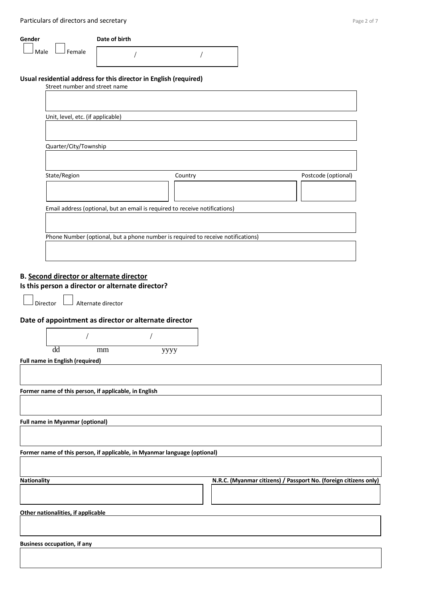| Particulars of directors and secretary |                                                                                  |         | Page 2 of 7         |
|----------------------------------------|----------------------------------------------------------------------------------|---------|---------------------|
| Gender                                 | Date of birth                                                                    |         |                     |
| Female<br>Male                         |                                                                                  |         |                     |
| Street number and street name          | Usual residential address for this director in English (required)                |         |                     |
| Unit, level, etc. (if applicable)      |                                                                                  |         |                     |
|                                        |                                                                                  |         |                     |
| Quarter/City/Township                  |                                                                                  |         |                     |
| State/Region                           |                                                                                  | Country | Postcode (optional) |
|                                        |                                                                                  |         |                     |
|                                        | Email address (optional, but an email is required to receive notifications)      |         |                     |
|                                        | Phone Number (optional, but a phone number is required to receive notifications) |         |                     |
|                                        |                                                                                  |         |                     |

## **B. Second director or alternate director Is this person a director or alternate director?**

 $\Box$  Alternate director

## **Date of appointment as director or alternate director**

| dd                                     | mm | уууу |  |
|----------------------------------------|----|------|--|
| <b>Full name in English (required)</b> |    |      |  |

**Former name of this person, if applicable, in English** 

**Full name in Myanmar (optional)**

**Former name of this person, if applicable, in Myanmar language (optional)**

**Nationality N.R.C. (Myanmar citizens) / Passport No. (foreign citizens only)**

**Other nationalities, if applicable**

**Business occupation, if any**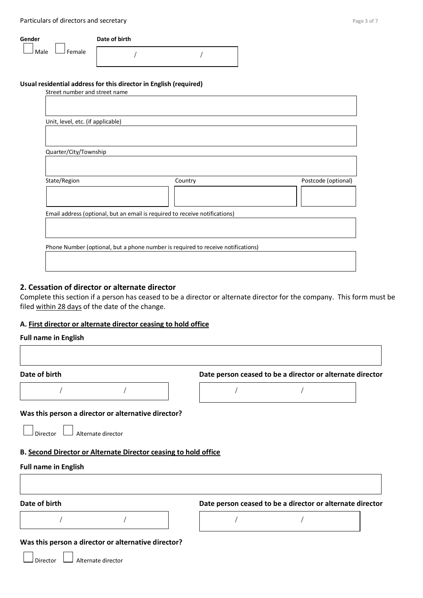Particulars of directors and secretary **Page 3 of 7** and 2011 11 and 2012 12:30 Page 3 of 7

| Gender         | Date of birth |  |
|----------------|---------------|--|
| Female<br>Male |               |  |

# **Usual residential address for this director in English (required)**

| Street number and street name                                               |                                                                                  |                     |
|-----------------------------------------------------------------------------|----------------------------------------------------------------------------------|---------------------|
|                                                                             |                                                                                  |                     |
|                                                                             |                                                                                  |                     |
| Unit, level, etc. (if applicable)                                           |                                                                                  |                     |
|                                                                             |                                                                                  |                     |
|                                                                             |                                                                                  |                     |
| Quarter/City/Township                                                       |                                                                                  |                     |
|                                                                             |                                                                                  |                     |
|                                                                             |                                                                                  |                     |
| State/Region                                                                | Country                                                                          | Postcode (optional) |
|                                                                             |                                                                                  |                     |
|                                                                             |                                                                                  |                     |
| Email address (optional, but an email is required to receive notifications) |                                                                                  |                     |
|                                                                             |                                                                                  |                     |
|                                                                             |                                                                                  |                     |
|                                                                             |                                                                                  |                     |
|                                                                             | Phone Number (optional, but a phone number is required to receive notifications) |                     |
|                                                                             |                                                                                  |                     |
|                                                                             |                                                                                  |                     |

## **2. Cessation of director or alternate director**

Complete this section if a person has ceased to be a director or alternate director for the company. This form must be filed within 28 days of the date of the change.

## **A. First director or alternate director ceasing to hold office**

#### **Full name in English**

| Date of birth                                                                                                                                                          | Date person ceased to be a director or alternate director |  |
|------------------------------------------------------------------------------------------------------------------------------------------------------------------------|-----------------------------------------------------------|--|
|                                                                                                                                                                        |                                                           |  |
| Was this person a director or alternative director?                                                                                                                    |                                                           |  |
| Alternate director<br>Director                                                                                                                                         |                                                           |  |
|                                                                                                                                                                        |                                                           |  |
|                                                                                                                                                                        |                                                           |  |
|                                                                                                                                                                        |                                                           |  |
|                                                                                                                                                                        |                                                           |  |
|                                                                                                                                                                        | Date person ceased to be a director or alternate director |  |
|                                                                                                                                                                        |                                                           |  |
| B. Second Director or Alternate Director ceasing to hold office<br><b>Full name in English</b><br>Date of birth<br>Was this person a director or alternative director? |                                                           |  |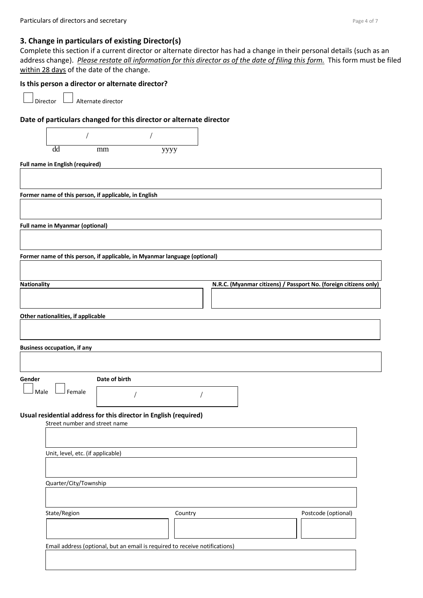#### **3. Change in particulars of existing Director(s)**

Complete this section if a current director or alternate director has had a change in their personal details (such as an address change). *Please restate all information for this director as of the date of filing this form.* This form must be filed within 28 days of the date of the change.

#### **Is this person a director or alternate director?**

Director **L**<br>Alternate director

## **Date of particulars changed for this director or alternate director**



**Full name in English (required)**

**Former name of this person, if applicable, in English** 

**Full name in Myanmar (optional)**

**Former name of this person, if applicable, in Myanmar language (optional)**

| <b>Nationality</b> | N.R.C. (Myanmar citizens) / Passport No. (foreign citizens only) |  |
|--------------------|------------------------------------------------------------------|--|
|                    |                                                                  |  |
|                    |                                                                  |  |

**Other nationalities, if applicable**

**Business occupation, if any Gender Date of birth**

/ /

 $\Box$  Female

|  |  |  | ,我们也不会有什么?""我们的人,我们也不会有什么?""我们的人,我们也不会有什么?""我们的人,我们也不会有什么?""我们的人,我们也不会有什么?""我们的人 |  |  |
|--|--|--|----------------------------------------------------------------------------------|--|--|
|  |  |  |                                                                                  |  |  |

#### **Usual residential address for this director in English (required)** Street number and street name

Unit, level, etc. (if applicable) Quarter/City/Township State/Region **Country Country Country** Postcode (optional) Email address (optional, but an email is required to receive notifications)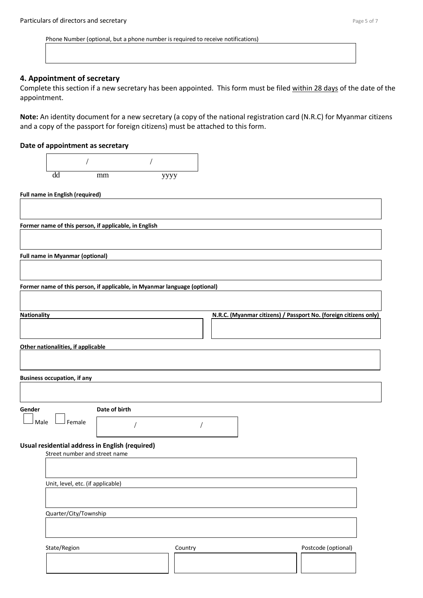Phone Number (optional, but a phone number is required to receive notifications)

## **4. Appointment of secretary**

Complete this section if a new secretary has been appointed. This form must be filed within 28 days of the date of the appointment.

**Note:** An identity document for a new secretary (a copy of the national registration card (N.R.C) for Myanmar citizens and a copy of the passport for foreign citizens) must be attached to this form.

#### **Date of appointment as secretary**

|                    | dd                                     | mm                                                                               | уууу    |  |                                                                  |  |
|--------------------|----------------------------------------|----------------------------------------------------------------------------------|---------|--|------------------------------------------------------------------|--|
|                    |                                        |                                                                                  |         |  |                                                                  |  |
|                    | <b>Full name in English (required)</b> |                                                                                  |         |  |                                                                  |  |
|                    |                                        |                                                                                  |         |  |                                                                  |  |
|                    |                                        |                                                                                  |         |  |                                                                  |  |
|                    |                                        | Former name of this person, if applicable, in English                            |         |  |                                                                  |  |
|                    |                                        |                                                                                  |         |  |                                                                  |  |
|                    | <b>Full name in Myanmar (optional)</b> |                                                                                  |         |  |                                                                  |  |
|                    |                                        |                                                                                  |         |  |                                                                  |  |
|                    |                                        |                                                                                  |         |  |                                                                  |  |
|                    |                                        | Former name of this person, if applicable, in Myanmar language (optional)        |         |  |                                                                  |  |
|                    |                                        |                                                                                  |         |  |                                                                  |  |
| <b>Nationality</b> |                                        |                                                                                  |         |  | N.R.C. (Myanmar citizens) / Passport No. (foreign citizens only) |  |
|                    |                                        |                                                                                  |         |  |                                                                  |  |
|                    |                                        |                                                                                  |         |  |                                                                  |  |
|                    | Other nationalities, if applicable     |                                                                                  |         |  |                                                                  |  |
|                    |                                        |                                                                                  |         |  |                                                                  |  |
|                    |                                        |                                                                                  |         |  |                                                                  |  |
|                    | <b>Business occupation, if any</b>     |                                                                                  |         |  |                                                                  |  |
|                    |                                        |                                                                                  |         |  |                                                                  |  |
| Gender             |                                        | Date of birth                                                                    |         |  |                                                                  |  |
|                    |                                        |                                                                                  |         |  |                                                                  |  |
| Male               | Female                                 |                                                                                  |         |  |                                                                  |  |
|                    |                                        |                                                                                  |         |  |                                                                  |  |
|                    |                                        | Usual residential address in English (required)<br>Street number and street name |         |  |                                                                  |  |
|                    |                                        |                                                                                  |         |  |                                                                  |  |
|                    |                                        |                                                                                  |         |  |                                                                  |  |
|                    |                                        | Unit, level, etc. (if applicable)                                                |         |  |                                                                  |  |
|                    |                                        |                                                                                  |         |  |                                                                  |  |
|                    | Quarter/City/Township                  |                                                                                  |         |  |                                                                  |  |
|                    |                                        |                                                                                  |         |  |                                                                  |  |
|                    |                                        |                                                                                  |         |  |                                                                  |  |
|                    | State/Region                           |                                                                                  | Country |  | Postcode (optional)                                              |  |
|                    |                                        |                                                                                  |         |  |                                                                  |  |
|                    |                                        |                                                                                  |         |  |                                                                  |  |
|                    |                                        |                                                                                  |         |  |                                                                  |  |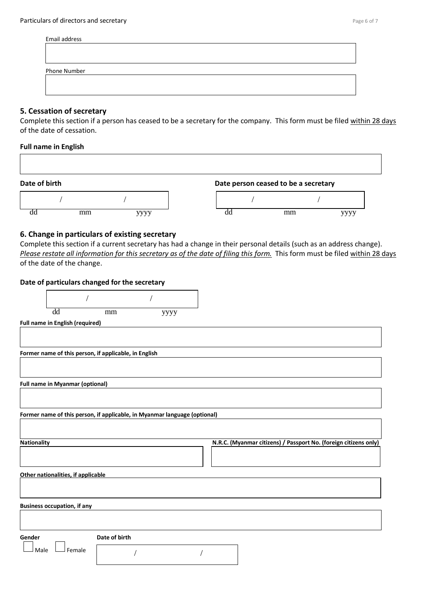| Email address |  |  |
|---------------|--|--|
|               |  |  |
|               |  |  |
|               |  |  |
| Phone Number  |  |  |
|               |  |  |
|               |  |  |
|               |  |  |

#### **5. Cessation of secretary**

Complete this section if a person has ceased to be a secretary for the company. This form must be filed within 28 days of the date of cessation.

#### **Full name in English**

## Date of birth **Date person ceased to be a secretary**



## **6. Change in particulars of existing secretary**

Complete this section if a current secretary has had a change in their personal details (such as an address change). *Please restate all information for this secretary as of the date of filing this form.* This form must be filed within 28 days of the date of the change.

| Date of particulars changed for the secretary                             |               |                                                                  |
|---------------------------------------------------------------------------|---------------|------------------------------------------------------------------|
|                                                                           |               |                                                                  |
| $\overline{dd}$<br>mm                                                     | уууу          |                                                                  |
| Full name in English (required)                                           |               |                                                                  |
|                                                                           |               |                                                                  |
| Former name of this person, if applicable, in English                     |               |                                                                  |
|                                                                           |               |                                                                  |
| <b>Full name in Myanmar (optional)</b>                                    |               |                                                                  |
|                                                                           |               |                                                                  |
| Former name of this person, if applicable, in Myanmar language (optional) |               |                                                                  |
|                                                                           |               |                                                                  |
| <b>Nationality</b>                                                        |               | N.R.C. (Myanmar citizens) / Passport No. (foreign citizens only) |
|                                                                           |               |                                                                  |
| Other nationalities, if applicable                                        |               |                                                                  |
|                                                                           |               |                                                                  |
| <b>Business occupation, if any</b>                                        |               |                                                                  |
|                                                                           |               |                                                                  |
| Gender                                                                    | Date of birth |                                                                  |
| Male<br>Female                                                            |               |                                                                  |
|                                                                           |               |                                                                  |